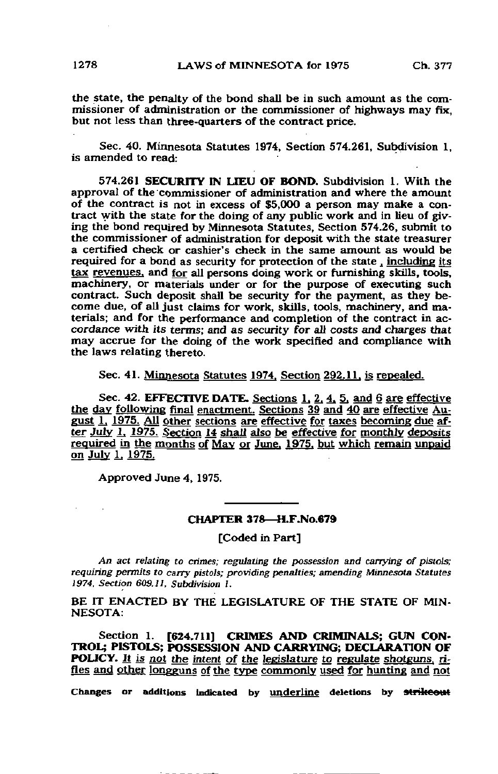the state, the penalty of the bond shall be in such amount as the commissioner of administration or the commissioner of highways may fix, but not less than three-quarters of the contract price.

Sec. 40. Minnesota Statutes 1974, Section 574.261, Subdivision 1, is amended to read:

574.261 SECURITY IN LIEU OF BOND. Subdivision 1. With the approval of the commissioner of administration and where the amount of the contract is not in excess of \$5,000 a person may make a contract with the state for the doing of any public work and in lieu of giving the bond required by Minnesota Statutes, Section 574.26, submit to the commissioner of administration for deposit with the state treasurer a certified check or cashier's check in the same amount as would be required for a bond as security for protection of the state, including its tax revenues, and for all persons doing work or furnishing skills, tools, machinery, or materials under or for the purpose of executing such contract. Such deposit shall be security for the payment, as they become due, of all just claims for work, skills, tools, machinery, and materials; and for the performance and completion of the contract in accordance with its terms; and as security for all costs and charges that may accrue for the doing of the work specified and compliance with the laws relating thereto.

Sec. 41. Minnesota Statutes 1974, Section 292.11, is repealed.

Sec. 42. EFFECTIVE DATE. Sections 1, 2, 4, 5, and 6 are effective the day following final enactment. Sections 39 and 40 are effective August 1. 1975. AU gther sections are effective for taxes becoming due after July 1, 1975. Section 14 shall also be effective for monthly deposits required in the months of May or June. 1975, but which remain unpaid on July 1. 1975.

Approved June 4, 1975.

## CHAPTER 378—H.F.No.679

[Coded in Part]

An act relating to crimes; regulating the possession and carrying of pistols; requiring permits to carry pistols; providing penalties; amending Minnesota Statutes 1974. Section 609.11, Subdivision L

BE IT ENACTED BY THE LEGISLATURE OF THE STATE OF MIN-NESOTA:

Section 1. [624.711] CRIMES AND CRIMINALS; GUN CON-TROL; PISTOLS; POSSESSION AND CARRYING; DECLARATION OF POLICY. It is not the intent of the legislature to regulate shotguns, rifles and other longguns of the type commonly used for hunting and not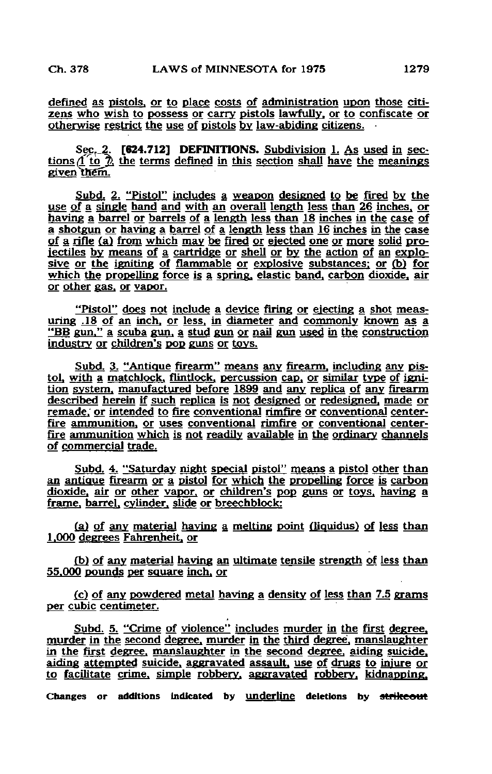defined as pistols, or to place costs of administration upon those citizens who wish to possess or carry pistols lawfully, or to confiscate or otherwise restrict the use of pistols by law-abiding citizens. •

Sec. 2. [624.712] DEFINITIONS. Subdivision 1. As used in sections  $f(t)$   $\alpha$ , the terms defined in this section shall have the meanings given them.

Subd. 2. "Pistol" includes a weapon designed to be fired by the uge of a single hand and with an overall length less than 26 inches, or having a barrel or barrels of a length less than 18 inches in the case of a shotgun or having a barrel of a length less than 16 inches m the case of a rifle (a) from which may be fired or ejected one or more solid projectiles by means of a cartridge or shell or by the action of an explosive or the igniting of flammable or explosive substances; or (b) for which the propelling force is a spring, elastic band, carbon dioxide, air or other gas, or vapor.

"Pistol" does not include a device firing or ejecting a shot measuring .18 of an inch, or less, in diameter and commonly known as a "BB gun." a scuba gun, a stud gun or nail gun used in the construction industry or children's pop guns or toys.

Subd. 3. "Antique firearm" means any firearm, including any pistol. with a matchlock, flintlock, percussion cap, or similar type of ignition system, manufactured before 1899 and any replica of any firearm described herein if such replica is not designed or redesigned, made or remade; or intended to fire conventional rimfire or conventional centerfire ammunition, or uses conventional rimfire or conventional centerfire ammunition which is not readily available in the ordinary channels of commercial trade.

Subd. 4. "Saturday night special pistol" means a pistol other than an antique firearm or a pistol for which the propelling force is carbon dioxide, air or other vapor, or children's pop guns or toys, having a frame, barrel, cylinder, slide or breechblock:

(a) of any material haying a melting point (liquidus) of less than 1.000 degrees Fahrenheit, or

(b) of any material haying an ultimate tensile strength of less than 55.000 pounds per square inch, or

(c) of any powdered metal having a density of less than 7.5 grams per cubic centimeter.

Subd. 5. "Crime of violence" includes murder in the first degree. murder in the second degree, murder in the third degree, manslaughter in the first degree, manslaughter in the second degree, aiding suicide. aiding attempted suicide, aggravated assault, use of drugs to injure or to facilitate crime, simple robbery, aggravated robbery, kidnapping. Changes or additions indicated by underline deletions by strikeout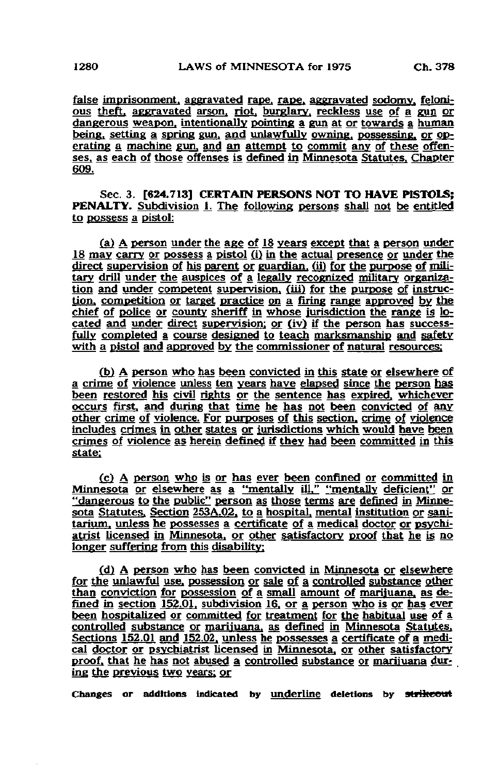false imprisonment, aggravated rape, rape, aggravated sodomy, felonious theft, aggravated arson, riot, burglary, reckless use of a gun or dangerous weapon, intentionally pointing a gun at or towards a human being, setting a spring gun, and unlawfully owning, possessing, or operating a machine gun, and an attempt to commit any of these offenses, as each of those offenses is defined in Minnesota Statutes. Chapter 609.

Sec. 3. [624.713] CERTAIN PERSONS NOT TO HAVE PISTOLS; PENALTY. Subdivision 1. The following persons shall not be entitled to possess a pistol:

 $(a)$  A person under the age of 18 years except that a person under 18 may carry or possess a pistol (i) in the actual presence or under the direct supervision of his parent or guardian, (ii) for the purpose of military drill under the auspices of a legally recognized military organization and under competent supervision, (iii) for the purpose of instruction, competition or target practice on a firing range approved by the chief of police or county sheriff in whose jurisdiction the range is located and under direct supervision: or (iv) if the person has successfully completed a course designed to teach marksmanship and safety with a pistol and approved by the commissioner of natural resources:

(b) A person who has been convicted in this state or elsewhere of a crime of violence unless ten years have elapsed since the person has been restored his civil rights or the sentence has expired, whichever occurs first, and during that time he has not been convicted of any other crime of violence. For purposes of this section, crime of violence includes crimes in other states or jurisdictions which would have been crimes of violence as herein defined if they had been committed in this state:

(c) A person who is or has ever been confined or committed in Minnesota or elsewhere as a "mentally ill." "mentally deficient" or "dangerous to the public" person as those terms are defined in Minnesota Statutes. Section 253A,02, to a hospital, mental institution or sanitarium, unless he possesses a certificate of a medical doctor or psychiatrist licensed in Minnesota, or other satisfactory proof that he is no longer suffering from this disability:

(d) A person who has been convicted in Minnesota or elsewhere for the unlawful use, possession or sale of a controlled substance other than conviction for possession of a small amount of marijuana, as defined in section  $152.01$ , subdivision  $16$ , or a person who is or has ever been hospitalized or committed for treatment for the habitual use of a controlled substance or marijuana, as defined in Minnesota Statutes, Sections 152.OJ and 152.02. unless he possesses a certificate of a medical doctor or psychiatrist licensed in Minnesota, or other satisfactory proof, that he has not abused a controlled substance or marijuana during the previous two years: or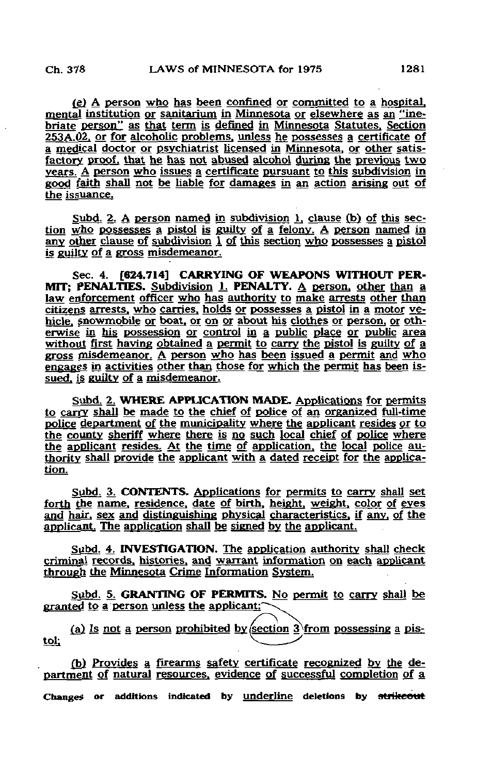£g) A person who has been confined or committed to a hospital, mental institution or sanitarium in Minnesota or elsewhere as an "inebriate person" as that term is defined in Minnesota Statutes. Section 253A.Q2. or for alcoholic problems, unless he possesses a certificate of a medical doctor or psychiatrist licensed in Minnesota, or other satisfactory proof, that he has not abused alcohol during the previous two years. A person who issues a certificate pursuant to this subdivision in good faith shall not be liable for damages in an action arising out of the issuance.

Subd. 2. A person named in subdivision 1, clause (b) of this section who possesses a pistol is guilty of a felony. A person named in any other clause of subdivision 1 of this section who possesses a pistol is guilty of a gross misdemeanor.

Sec. 4. [624.714] CARRYING OF WEAPONS WITHOUT PER-MIT: PENALTIES. Subdivision 1. PENALTY. A person, other than a law enforcement officer who has authority to make arrests other than citizens arrests, who carries, holds or possesses a pistol in a motor vehicle, snowmobile or boat, or on or about his clothes or person, or otherwise in his possession or control in a public place or public area without first having obtained a permit to carry the pistol is guilty of a gross misdemeanor. £ person who has been issued a permit and who engages in activities other than those for which the permit has been issued, is guilty of a misdemeanor.

Subd. 2. WHERE APPLICATION MADE, Applications for permits to carry shall be made to the chief of police of an organized full-time police department of the municipality where the applicant resides or to the county sheriff where there is no such local chief of police where the applicant resides. At the time of application, the local police authority shall provide the applicant with a dated receipt for the application.

Subd. 3. CONTENTS. Applications for permits to carry shall set forth the name, residence, date of birth, height, weight, color of eyes and hair, sex and distinguishing physical characteristics, if any, of the applicant. The application shall be signed by the applicant.

Subd. 4. INVESTIGATION. The application authority shall check criminal records, histories, and warrant information on each applicant through the Minnesota Crime Information System.

Subd. 5. GRANTING OF PERMITS. No permit to carry shall be granted to a person unless the applicant:'

(a) Is not a person prohibited by section 3 from possessing a pis-<br>tol:

£b) Provides a firearms safety certificate recognized by the department of natural resources, evidence of successful completion of a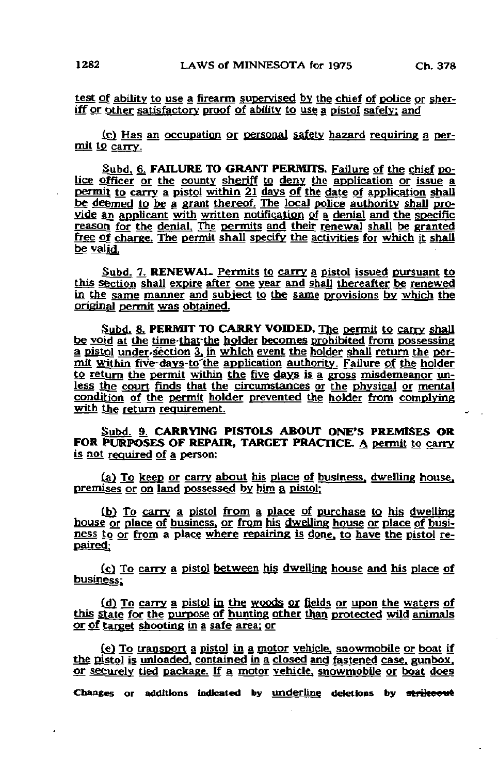test of ability to use a firearm supervised by the chief of police or sheriff or other satisfactory proof of ability to use a pistol safely: and

(cj Has an occupation or personal safety hazard requiring a permit to carry.

Subd. 6. FAILURE TO GRANT PERMITS. Failure of the chief police officer or the county sheriff to deny the application or issue a permit to carry a pistol within 21 days of the date of application shall be deemed to be a grant thereof. The locaj police authority shall provide an applicant with written notification of a denial and the specific reason for the denial. The permits and their renewal shall be granted free of charge. The permit shall specify the activities for which it shall be valid.

Subd. 7. RENEWAL. Permits to carry a pistol issued pursuant to this section shall expire after one year and shall thereafter be renewed in the same manner and subject to the same provisions by which the original permit was obtained.

Subd. 8. PERMIT TO CARRY VOIDED. The permit to carry shall be void at the time-that-the holder becomes prohibited from possessing a pistol under-section 3, in which event the holder shall return the permit within five-days-to the application authority. Failure of the holder to return the permit within the five days is a gross misdemeanor unless the court finds that the circumstances or the physical or mental condition of the permit holder prevented the holder from complying with the return requirement.

Subd. 9, CARRYING PISTOLS ABOUT ONE'S PREMISES OR FOR PURPOSES OF REPAIR, TARGET PRACTICE. A permit to carry is not required of a person:

(a) To keep or carry about his place of business, dwelling house, premises or on land possessed by him a pistol;

[bj To carry a pistol from a place of purchase to his dwelling house or place of business, or from his dwelling house or place of business to or from a place where repairing is done, to have the pistol repaired;

(£) To carry a pistol between his dwelling house and his place of business;

(d) To carry a pistol in the woods or fields or upon the waters of this state for the purpose of hunting other than protected wild animals or of target shooting in a safe area: or

(e) To transport a pistol in a motor vehicle, snowmobile or boat if the pistol is unloaded, contained in a closed and fastened case, gunbox. or securely tied package. If a motor vehicle, snowmobile or boat does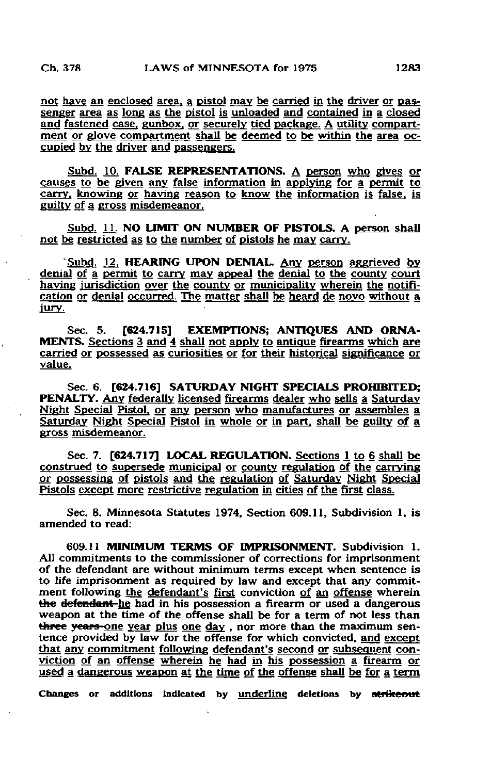not have an enclosed area, a pistol may be carried in the driver or passenger area as long as the pistol is unloaded and contained in a closed and fastened case, gunbox. or securely tied package. A utility compartment or glove compartment shall be deemed to be within the area occupied by the driver and passengers.

Subd. 10. FALSE REPRESENTATIONS. A person who gives or causes to be given any false information in applying for a permit to carry, knowing or having reason to know the information is false, is guilty of a gross misdemeanor.

Subd. 11. NO LIMIT ON NUMBER OF PISTOLS. A person shall not be restricted as to the number of pistols he may carry.

'Subd. 12. HEARING UPON DENIAL. Any person aggrieved by. denial of a permit to carry may appeal the denial to the county court having jurisdiction over the county or municipality wherein the notification or denial occurred. The matter shall be heard de noyo without a Jury.

Sec. 5. **[624.715] EXEMPTIONS: ANTIQUES AND ORNA-**MENTS. Sections 3 and 4 shall not apply to antique firearms which are carried or possessed as curiosities or for their historical significance or value.

Sec. 6. [624.716] SATURDAY NIGHT SPECIALS PROHIBITED: PENALTY. Any federally licensed firearms dealer who sells a Saturday Night Special Pistol, or any person who manufactures or assembles a Saturday Night Special Pistol in whole or in part, shall be guilty of a gross misdemeanor.

Sec. 7. [624.717] LOCAL REGULATION. Sections 1 to 6 shall be construed to supersede municipal or county regulation of the carrying or possessing of pistols and the regulation of Saturday Night Special Pistols except more restrictive regulation in cities of the first class.

Sec. 8. Minnesota Statutes 1974, Section 609.11, Subdivision 1, is amended to read:

609.11 MINIMUM TERMS OF IMPRISONMENT. Subdivision 1. All commitments to the commissioner of corrections for imprisonment of the defendant are without minimum terms except when sentence is to life imprisonment as required by law and except that any commitment following the defendant's first conviction of an offense wherein the defendant he had in his possession a firearm or used a dangerous weapon at the time of the offense shall be for a term of not less than three years-one year plus one day, nor more than the maximum sentence provided by law for the offense for which convicted, and except that any commitment following defendant's second or subsequent conviction of an offense wherein he had in his possession a firearm or used a dangerous weapon at the time of the offense shall be for a term